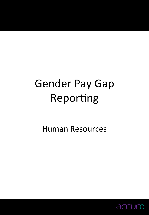# Gender Pay Gap Reporting

Human Resources 

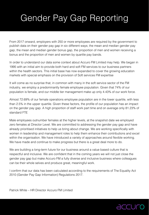# Gender Pay Gap Reporting

From 2017 onward, employers with 250 or more employees are required by the government to publish data on their gender pay gap in six different ways; the mean and median gender pay gap, the mean and median gender bonus gap, the proportion of men and women receiving a bonus and the proportion of men and women by quartile pay bands.

In order to understand our data some context about Accuro FM Limited may help. We began in 1995 with an initial aim to provide both hard and soft FM services to our business partners within the health sectors. This initial base has now expanded to cover the growing education markets with special emphasis on the provision of Soft services FM expertise

It will come as no surprise that, in common with many in the soft service sector of the FM industry, we employ a predominantly female employee population. Given that 74% of our population is female, and our middle tier management make up only 4.43% of our work force.

Almost 72.69% of our female operations employee population are in the lower quartile, with less than 2.5% in the upper quartile. Given these factors, the profile of our population has an impact on the gender pay gap. A high proportion of staff work part time and on average only 81.23% of standard FTE

Male employees outnumber females at the higher levels, at the snapshot date we employed zero females at Director Level. We are committed to addressing the gender pay gap and have already prioritised initiatives to help us bring about change. We are working specifically with women in leadership and management roles to help them enhance their contributions and excel within the organisation. We have introduced a variety of approaches around flexible working. We have made and continue to make progress but there is a great deal more to do.

We are building a long-term future for our business around a value based culture that is respectful and inclusive. We are confident that in the coming years we will not just close the gender pay gap but make Accuro FM a fully diverse and inclusive business where colleagues can be their whole selves and produce great, meaningful work.

I confirm that our data has been calculated according to the requirements of The Equality Act 2010 (Gender Pay Gap Information) Regulations 2017.

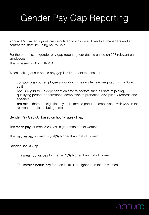# Gender Pay Gap Reporting

Accuro FM Limited figures are calculated to include all Directors, managers and all contracted staff, including hourly paid.

For the purposes of gender pay gap reporting, our data is based on 293 relevant paid employees.

This is based on April 5th 2017.

When looking at our bonus pay gap it is important to consider:

- **composition** our employee population is heavily female weighted, with a 80:20 split
- bonus eligibility is dependent on several factors such as date of joining, qualifying period, performance, completion of probation, disciplinary records and absence
- pro-rata there are significantly more female part-time employees; with 66% in the relevant population being female

### Gender Pay Gap (All based on hourly rates of pay)!

The **mean pay** for men is 23.65% higher than that of women

The **median pay** for men is 3.78% higher than that of women

#### Gender Bonus Gap !

- The **mean bonus pay** for men is 45% higher than that of women
- The median bonus pay for men is 10.01% higher than that of women